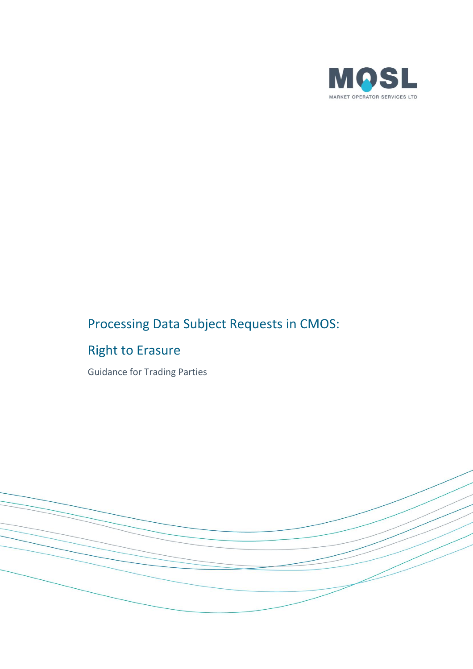

# Processing Data Subject Requests in CMOS:

## Right to Erasure

Guidance for Trading Parties

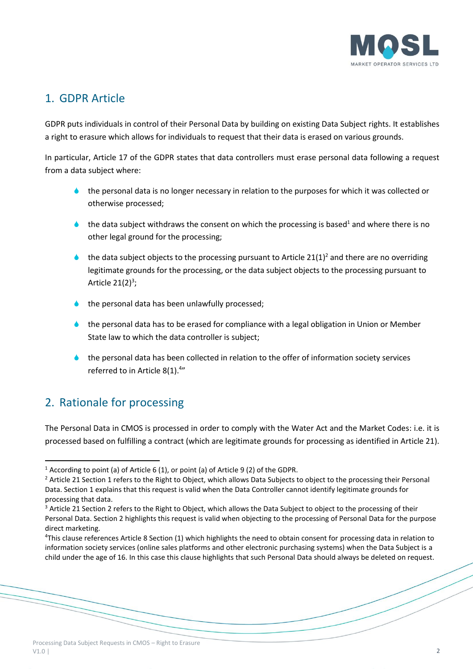

### 1. GDPR Article

GDPR puts individuals in control of their Personal Data by building on existing Data Subject rights. It establishes a right to erasure which allows for individuals to request that their data is erased on various grounds.

In particular, Article 17 of the GDPR states that data controllers must erase personal data following a request from a data subject where:

- $\bullet$  the personal data is no longer necessary in relation to the purposes for which it was collected or otherwise processed;
- the data subject withdraws the consent on which the processing is based<sup>1</sup> and where there is no other legal ground for the processing;
- the data subject objects to the processing pursuant to Article  $21(1)^2$  and there are no overriding legitimate grounds for the processing, or the data subject objects to the processing pursuant to [Article 21\(](https://gdpr-info.eu/art-21-gdpr/)2) $^3$ ;
- the personal data has been unlawfully processed;
- the personal data has to be erased for compliance with a legal obligation in Union or Member State law to which the data controller is subject;
- the personal data has been collected in relation to the offer of information society services referred to in Article  $8(1).^{4}$

## 2. Rationale for processing

 $\overline{a}$ 

The Personal Data in CMOS is processed in order to comply with the Water Act and the Market Codes: i.e. it is processed based on fulfilling a contract (which are legitimate grounds for processing as identified in Article 21).

<sup>1</sup> According to point (a) of [Article 6](https://gdpr-info.eu/art-6-gdpr/) (1), or point (a) o[f Article 9](https://gdpr-info.eu/art-9-gdpr/) (2) of the GDPR.

<sup>&</sup>lt;sup>2</sup> Article 21 Section 1 refers to the Right to Object, which allows Data Subjects to object to the processing their Personal Data. Section 1 explains that this request is valid when the Data Controller cannot identify legitimate grounds for processing that data.

<sup>&</sup>lt;sup>3</sup> Article 21 Section 2 refers to the Right to Object, which allows the Data Subject to object to the processing of their Personal Data. Section 2 highlights this request is valid when objecting to the processing of Personal Data for the purpose direct marketing.

<sup>4</sup>This clause references Article 8 Section (1) which highlights the need to obtain consent for processing data in relation to information society services (online sales platforms and other electronic purchasing systems) when the Data Subject is a child under the age of 16. In this case this clause highlights that such Personal Data should always be deleted on request.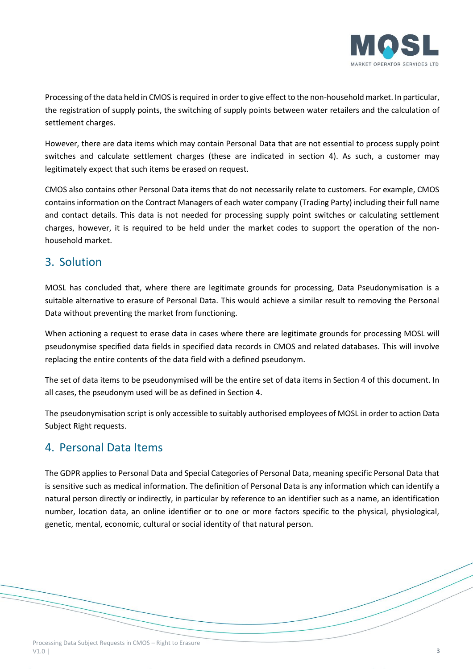

Processing of the data held in CMOS is required in order to give effect to the non-household market. In particular, the registration of supply points, the switching of supply points between water retailers and the calculation of settlement charges.

However, there are data items which may contain Personal Data that are not essential to process supply point switches and calculate settlement charges (these are indicated in section 4). As such, a customer may legitimately expect that such items be erased on request.

CMOS also contains other Personal Data items that do not necessarily relate to customers. For example, CMOS contains information on the Contract Managers of each water company (Trading Party) including their full name and contact details. This data is not needed for processing supply point switches or calculating settlement charges, however, it is required to be held under the market codes to support the operation of the nonhousehold market.

#### 3. Solution

MOSL has concluded that, where there are legitimate grounds for processing, Data Pseudonymisation is a suitable alternative to erasure of Personal Data. This would achieve a similar result to removing the Personal Data without preventing the market from functioning.

When actioning a request to erase data in cases where there are legitimate grounds for processing MOSL will pseudonymise specified data fields in specified data records in CMOS and related databases. This will involve replacing the entire contents of the data field with a defined pseudonym.

The set of data items to be pseudonymised will be the entire set of data items in Section 4 of this document. In all cases, the pseudonym used will be as defined in Section 4.

The pseudonymisation script is only accessible to suitably authorised employees of MOSL in order to action Data Subject Right requests.

#### 4. Personal Data Items

The GDPR applies to Personal Data and Special Categories of Personal Data, meaning specific Personal Data that is sensitive such as medical information. The definition of Personal Data is any information which can identify a natural person directly or indirectly, in particular by reference to an identifier such as a name, an identification number, location data, an online identifier or to one or more factors specific to the physical, physiological, genetic, mental, economic, cultural or social identity of that natural person.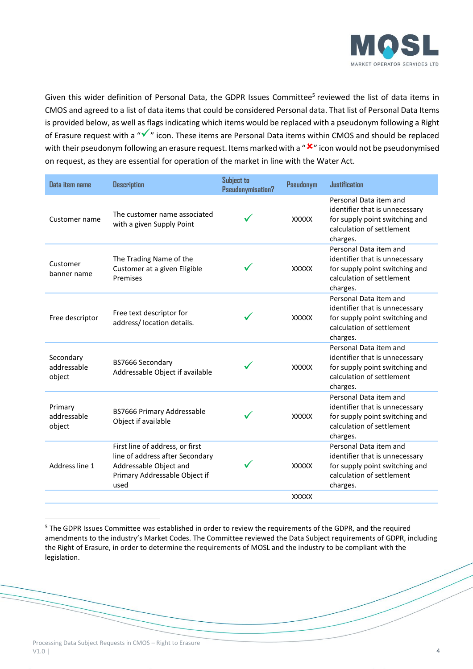

Given this wider definition of Personal Data, the GDPR Issues Committee<sup>5</sup> reviewed the list of data items in CMOS and agreed to a list of data items that could be considered Personal data. That list of Personal Data Items is provided below, as well as flags indicating which items would be replaced with a pseudonym following a Right of Erasure request with a "✓" icon. These items are Personal Data items within CMOS and should be replaced with their pseudonym following an erasure request. Items marked with a " $x$ " icon would not be pseudonymised on request, as they are essential for operation of the market in line with the Water Act.

| Data item name                     | <b>Description</b>                                                                                                                    | Subject to<br>Pseudonymisation? | Pseudonym    | <b>Justification</b>                                                                                                                |
|------------------------------------|---------------------------------------------------------------------------------------------------------------------------------------|---------------------------------|--------------|-------------------------------------------------------------------------------------------------------------------------------------|
| Customer name                      | The customer name associated<br>with a given Supply Point                                                                             |                                 | <b>XXXXX</b> | Personal Data item and<br>identifier that is unnecessary<br>for supply point switching and<br>calculation of settlement<br>charges. |
| Customer<br>banner name            | The Trading Name of the<br>Customer at a given Eligible<br>Premises                                                                   |                                 | <b>XXXXX</b> | Personal Data item and<br>identifier that is unnecessary<br>for supply point switching and<br>calculation of settlement<br>charges. |
| Free descriptor                    | Free text descriptor for<br>address/ location details.                                                                                |                                 | <b>XXXXX</b> | Personal Data item and<br>identifier that is unnecessary<br>for supply point switching and<br>calculation of settlement<br>charges. |
| Secondary<br>addressable<br>object | BS7666 Secondary<br>Addressable Object if available                                                                                   |                                 | <b>XXXXX</b> | Personal Data item and<br>identifier that is unnecessary<br>for supply point switching and<br>calculation of settlement<br>charges. |
| Primary<br>addressable<br>object   | BS7666 Primary Addressable<br>Object if available                                                                                     |                                 | <b>XXXXX</b> | Personal Data item and<br>identifier that is unnecessary<br>for supply point switching and<br>calculation of settlement<br>charges. |
| Address line 1                     | First line of address, or first<br>line of address after Secondary<br>Addressable Object and<br>Primary Addressable Object if<br>used |                                 | <b>XXXXX</b> | Personal Data item and<br>identifier that is unnecessary<br>for supply point switching and<br>calculation of settlement<br>charges. |
|                                    |                                                                                                                                       |                                 | <b>XXXXX</b> |                                                                                                                                     |

<sup>&</sup>lt;sup>5</sup> The GDPR Issues Committee was established in order to review the requirements of the GDPR, and the required amendments to the industry's Market Codes. The Committee reviewed the Data Subject requirements of GDPR, including the Right of Erasure, in order to determine the requirements of MOSL and the industry to be compliant with the legislation.

 $\overline{a}$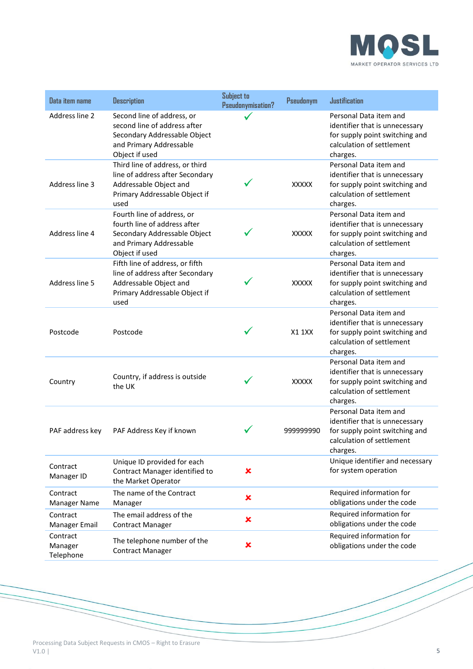

| Data item name                   | <b>Description</b>                                                                                                                      | Subject to<br>Pseudonymisation? | <b>Pseudonym</b> | <b>Justification</b>                                                                                                                |
|----------------------------------|-----------------------------------------------------------------------------------------------------------------------------------------|---------------------------------|------------------|-------------------------------------------------------------------------------------------------------------------------------------|
| Address line 2                   | Second line of address, or<br>second line of address after<br>Secondary Addressable Object<br>and Primary Addressable<br>Object if used |                                 |                  | Personal Data item and<br>identifier that is unnecessary<br>for supply point switching and<br>calculation of settlement<br>charges. |
| Address line 3                   | Third line of address, or third<br>line of address after Secondary<br>Addressable Object and<br>Primary Addressable Object if<br>used   |                                 | <b>XXXXX</b>     | Personal Data item and<br>identifier that is unnecessary<br>for supply point switching and<br>calculation of settlement<br>charges. |
| Address line 4                   | Fourth line of address, or<br>fourth line of address after<br>Secondary Addressable Object<br>and Primary Addressable<br>Object if used |                                 | <b>XXXXX</b>     | Personal Data item and<br>identifier that is unnecessary<br>for supply point switching and<br>calculation of settlement<br>charges. |
| Address line 5                   | Fifth line of address, or fifth<br>line of address after Secondary<br>Addressable Object and<br>Primary Addressable Object if<br>used   |                                 | <b>XXXXX</b>     | Personal Data item and<br>identifier that is unnecessary<br>for supply point switching and<br>calculation of settlement<br>charges. |
| Postcode                         | Postcode                                                                                                                                |                                 | <b>X1 1XX</b>    | Personal Data item and<br>identifier that is unnecessary<br>for supply point switching and<br>calculation of settlement<br>charges. |
| Country                          | Country, if address is outside<br>the UK                                                                                                |                                 | <b>XXXXX</b>     | Personal Data item and<br>identifier that is unnecessary<br>for supply point switching and<br>calculation of settlement<br>charges. |
| PAF address key                  | PAF Address Key if known                                                                                                                |                                 | 99999990         | Personal Data item and<br>identifier that is unnecessary<br>for supply point switching and<br>calculation of settlement<br>charges. |
| Contract<br>Manager ID           | Unique ID provided for each<br>Contract Manager identified to<br>the Market Operator                                                    | ×                               |                  | Unique identifier and necessary<br>for system operation                                                                             |
| Contract<br>Manager Name         | The name of the Contract<br>Manager                                                                                                     | $\pmb{\times}$                  |                  | Required information for<br>obligations under the code                                                                              |
| Contract<br>Manager Email        | The email address of the<br><b>Contract Manager</b>                                                                                     | ×                               |                  | Required information for<br>obligations under the code                                                                              |
| Contract<br>Manager<br>Telephone | The telephone number of the<br><b>Contract Manager</b>                                                                                  | ×                               |                  | Required information for<br>obligations under the code                                                                              |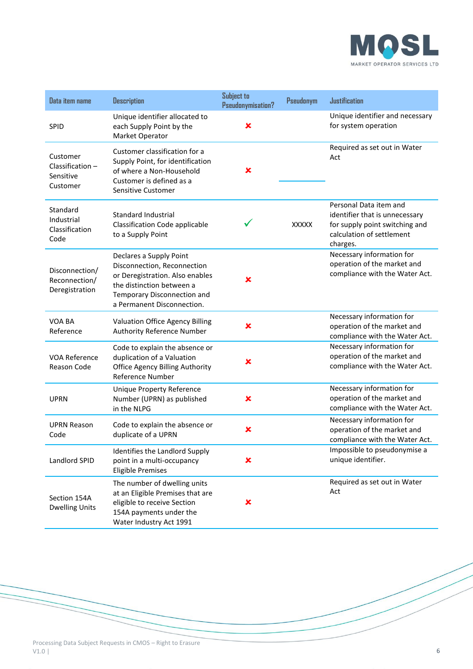

| Data item name                                       | <b>Description</b>                                                                                                                                                                  | <b>Subject to</b><br>Pseudonymisation? | <b>Pseudonym</b> | <b>Justification</b>                                                                                                                |
|------------------------------------------------------|-------------------------------------------------------------------------------------------------------------------------------------------------------------------------------------|----------------------------------------|------------------|-------------------------------------------------------------------------------------------------------------------------------------|
| SPID                                                 | Unique identifier allocated to<br>each Supply Point by the<br>Market Operator                                                                                                       | ×                                      |                  | Unique identifier and necessary<br>for system operation                                                                             |
| Customer<br>Classification-<br>Sensitive<br>Customer | Customer classification for a<br>Supply Point, for identification<br>of where a Non-Household<br>Customer is defined as a<br>Sensitive Customer                                     | ×                                      |                  | Required as set out in Water<br>Act                                                                                                 |
| Standard<br>Industrial<br>Classification<br>Code     | <b>Standard Industrial</b><br><b>Classification Code applicable</b><br>to a Supply Point                                                                                            |                                        | <b>XXXXX</b>     | Personal Data item and<br>identifier that is unnecessary<br>for supply point switching and<br>calculation of settlement<br>charges. |
| Disconnection/<br>Reconnection/<br>Deregistration    | Declares a Supply Point<br>Disconnection, Reconnection<br>or Deregistration. Also enables<br>the distinction between a<br>Temporary Disconnection and<br>a Permanent Disconnection. | x                                      |                  | Necessary information for<br>operation of the market and<br>compliance with the Water Act.                                          |
| VOA BA<br>Reference                                  | Valuation Office Agency Billing<br>Authority Reference Number                                                                                                                       | ×                                      |                  | Necessary information for<br>operation of the market and<br>compliance with the Water Act.                                          |
| VOA Reference<br><b>Reason Code</b>                  | Code to explain the absence or<br>duplication of a Valuation<br><b>Office Agency Billing Authority</b><br>Reference Number                                                          | ×                                      |                  | Necessary information for<br>operation of the market and<br>compliance with the Water Act.                                          |
| <b>UPRN</b>                                          | <b>Unique Property Reference</b><br>Number (UPRN) as published<br>in the NLPG                                                                                                       | ×                                      |                  | Necessary information for<br>operation of the market and<br>compliance with the Water Act.                                          |
| <b>UPRN Reason</b><br>Code                           | Code to explain the absence or<br>duplicate of a UPRN                                                                                                                               | ×                                      |                  | Necessary information for<br>operation of the market and<br>compliance with the Water Act.                                          |
| Landlord SPID                                        | Identifies the Landlord Supply<br>point in a multi-occupancy<br><b>Eligible Premises</b>                                                                                            | ×                                      |                  | Impossible to pseudonymise a<br>unique identifier.                                                                                  |
| Section 154A<br><b>Dwelling Units</b>                | The number of dwelling units<br>at an Eligible Premises that are<br>eligible to receive Section<br>154A payments under the<br>Water Industry Act 1991                               | ×                                      |                  | Required as set out in Water<br>Act                                                                                                 |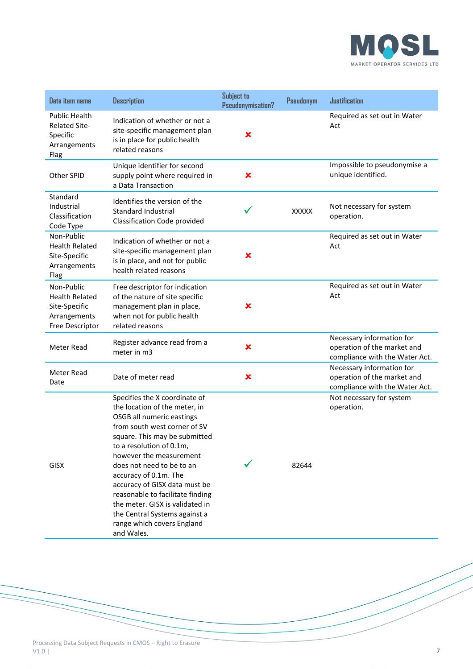

| Data item name                                                                          | <b>Description</b>                                                                                                                                                                                                                                                                                                                                                                                                                                             | <b>Subject to</b><br>Pseudonymisation? | <b>Pseudonym</b> | <b>Justification</b>                                                                       |
|-----------------------------------------------------------------------------------------|----------------------------------------------------------------------------------------------------------------------------------------------------------------------------------------------------------------------------------------------------------------------------------------------------------------------------------------------------------------------------------------------------------------------------------------------------------------|----------------------------------------|------------------|--------------------------------------------------------------------------------------------|
| <b>Public Health</b><br><b>Related Site-</b><br>Specific<br>Arrangements<br>Flag        | Indication of whether or not a<br>site-specific management plan<br>is in place for public health<br>related reasons                                                                                                                                                                                                                                                                                                                                            | ×                                      |                  | Required as set out in Water<br>Act                                                        |
| Other SPID                                                                              | Unique identifier for second<br>supply point where required in<br>a Data Transaction                                                                                                                                                                                                                                                                                                                                                                           | ×                                      |                  | Impossible to pseudonymise a<br>unique identified.                                         |
| Standard<br>Industrial<br>Classification<br>Code Type                                   | Identifies the version of the<br>Standard Industrial<br>Classification Code provided                                                                                                                                                                                                                                                                                                                                                                           |                                        | <b>XXXXX</b>     | Not necessary for system<br>operation.                                                     |
| Non-Public<br><b>Health Related</b><br>Site-Specific<br>Arrangements<br>Flag            | Indication of whether or not a<br>site-specific management plan<br>is in place, and not for public<br>health related reasons                                                                                                                                                                                                                                                                                                                                   | ×                                      |                  | Required as set out in Water<br>Act                                                        |
| Non-Public<br><b>Health Related</b><br>Site-Specific<br>Arrangements<br>Free Descriptor | Free descriptor for indication<br>of the nature of site specific<br>management plan in place,<br>when not for public health<br>related reasons                                                                                                                                                                                                                                                                                                                 | ×                                      |                  | Required as set out in Water<br>Act                                                        |
| Meter Read                                                                              | Register advance read from a<br>meter in m3                                                                                                                                                                                                                                                                                                                                                                                                                    | ×                                      |                  | Necessary information for<br>operation of the market and<br>compliance with the Water Act. |
| Meter Read<br>Date                                                                      | Date of meter read                                                                                                                                                                                                                                                                                                                                                                                                                                             | ×                                      |                  | Necessary information for<br>operation of the market and<br>compliance with the Water Act. |
| <b>GISX</b>                                                                             | Specifies the X coordinate of<br>the location of the meter, in<br>OSGB all numeric eastings<br>from south west corner of SV<br>square. This may be submitted<br>to a resolution of 0.1m,<br>however the measurement<br>does not need to be to an<br>accuracy of 0.1m. The<br>accuracy of GISX data must be<br>reasonable to facilitate finding<br>the meter. GISX is validated in<br>the Central Systems against a<br>range which covers England<br>and Wales. |                                        | 82644            | Not necessary for system<br>operation.                                                     |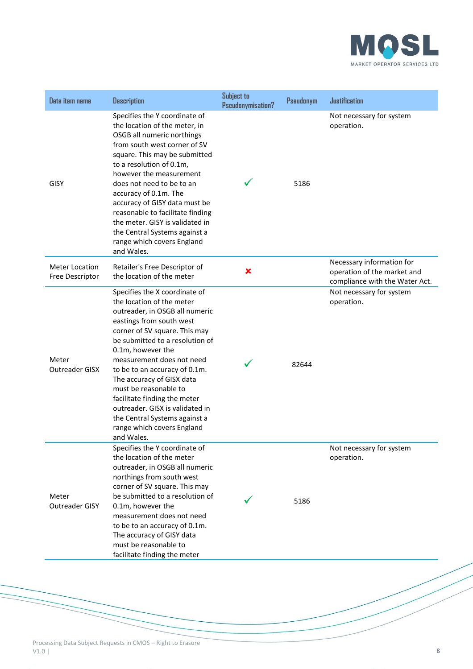

| Data item name                           | <b>Description</b>                                                                                                                                                                                                                                                                                                                                                                                                                                                                    | Subject to<br>Pseudonymisation? | <b>Pseudonym</b> | <b>Justification</b>                                                                       |
|------------------------------------------|---------------------------------------------------------------------------------------------------------------------------------------------------------------------------------------------------------------------------------------------------------------------------------------------------------------------------------------------------------------------------------------------------------------------------------------------------------------------------------------|---------------------------------|------------------|--------------------------------------------------------------------------------------------|
| <b>GISY</b>                              | Specifies the Y coordinate of<br>the location of the meter, in<br>OSGB all numeric northings<br>from south west corner of SV<br>square. This may be submitted<br>to a resolution of 0.1m,<br>however the measurement<br>does not need to be to an<br>accuracy of 0.1m. The<br>accuracy of GISY data must be<br>reasonable to facilitate finding<br>the meter. GISY is validated in<br>the Central Systems against a<br>range which covers England<br>and Wales.                       |                                 | 5186             | Not necessary for system<br>operation.                                                     |
| <b>Meter Location</b><br>Free Descriptor | Retailer's Free Descriptor of<br>the location of the meter                                                                                                                                                                                                                                                                                                                                                                                                                            | ×                               |                  | Necessary information for<br>operation of the market and<br>compliance with the Water Act. |
| Meter<br>Outreader GISX                  | Specifies the X coordinate of<br>the location of the meter<br>outreader, in OSGB all numeric<br>eastings from south west<br>corner of SV square. This may<br>be submitted to a resolution of<br>0.1m, however the<br>measurement does not need<br>to be to an accuracy of 0.1m.<br>The accuracy of GISX data<br>must be reasonable to<br>facilitate finding the meter<br>outreader. GISX is validated in<br>the Central Systems against a<br>range which covers England<br>and Wales. |                                 | 82644            | Not necessary for system<br>operation.                                                     |
| Meter<br>Outreader GISY                  | Specifies the Y coordinate of<br>the location of the meter<br>outreader, in OSGB all numeric<br>northings from south west<br>corner of SV square. This may<br>be submitted to a resolution of<br>0.1m, however the<br>measurement does not need<br>to be to an accuracy of 0.1m.<br>The accuracy of GISY data<br>must be reasonable to<br>facilitate finding the meter                                                                                                                |                                 | 5186             | Not necessary for system<br>operation.                                                     |